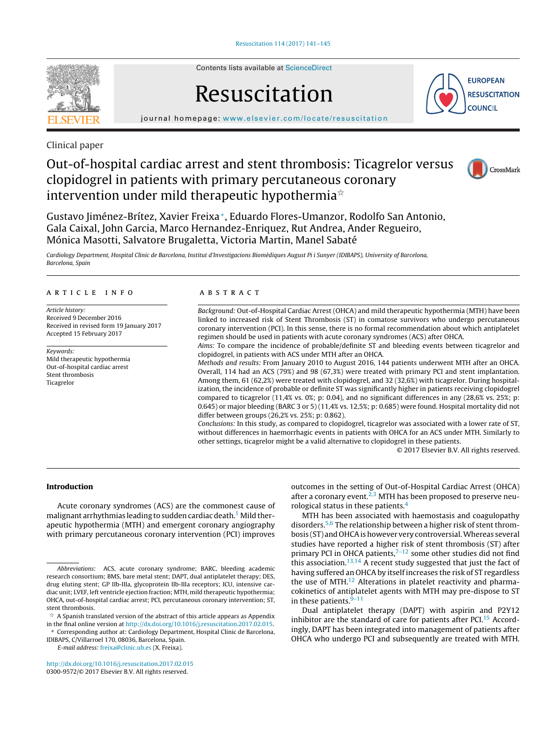

Contents lists available at [ScienceDirect](http://www.sciencedirect.com/science/journal/03009572)

# Resuscitation



iournal homepage: [www.elsevier.com/locate/resuscitation](http://www.elsevier.com/locate/resuscitation)

Clinical paper

# Out-of-hospital cardiac arrest and stent thrombosis: Ticagrelor versus clopidogrel in patients with primary percutaneous coronary intervention under mild therapeutic hypothermia $^{\scriptscriptstyle \star}$



Gustavo Jiménez-Brítez, Xavier Freixa∗, Eduardo Flores-Umanzor, Rodolfo San Antonio, Gala Caixal, John Garcia, Marco Hernandez-Enriquez, Rut Andrea, Ander Regueiro, Mónica Masotti, Salvatore Brugaletta, Victoria Martin, Manel Sabaté

Cardiology Department, Hospital Clinic de Barcelona, Institut d'Investigacions Biomèdiques August Pi i Sunyer (IDIBAPS), University of Barcelona, Barcelona, Spain

#### a r t i c l e i n f o

Article history: Received 9 December 2016 Received in revised form 19 January 2017 Accepted 15 February 2017

Keywords: Mild therapeutic hypothermia Out-of-hospital cardiac arrest Stent thrombosis Ticagrelor

#### A B S T R A C T

Background: Out-of-Hospital Cardiac Arrest (OHCA) and mild therapeutic hypothermia (MTH) have been linked to increased risk of Stent Thrombosis (ST) in comatose survivors who undergo percutaneous coronary intervention (PCI). In this sense, there is no formal recommendation about which antiplatelet regimen should be used in patients with acute coronary syndromes (ACS) after OHCA.

Aims: To compare the incidence of probable/definite ST and bleeding events between ticagrelor and clopidogrel, in patients with ACS under MTH after an OHCA.

Methods and results: From January 2010 to August 2016, 144 patients underwent MTH after an OHCA. Overall, 114 had an ACS (79%) and 98 (67,3%) were treated with primary PCI and stent implantation. Among them, 61 (62,2%) were treated with clopidogrel, and 32 (32,6%) with ticagrelor. During hospitalization, the incidence of probable or definite ST was significantly higher in patients receiving clopidogrel compared to ticagrelor (11,4% vs. 0%; p: 0.04), and no significant differences in any (28,6% vs. 25%; p: 0.645) or major bleeding (BARC 3 or 5) (11,4% vs. 12,5%; p: 0.685) were found. Hospital mortality did not differ between groups (26,2% vs. 25%; p: 0.862).

Conclusions: In this study, as compared to clopidogrel, ticagrelor was associated with a lower rate of ST, without differences in haemorrhagic events in patients with OHCA for an ACS under MTH. Similarly to other settings, ticagrelor might be a valid alternative to clopidogrel in these patients.

© 2017 Elsevier B.V. All rights reserved.

# **Introduction**

Acute coronary syndromes (ACS) are the commonest cause of malignant arrhythmias leading to sudden cardiac death.<sup>[1](#page-4-0)</sup> Mild therapeutic hypothermia (MTH) and emergent coronary angiography with primary percutaneous coronary intervention (PCI) improves

∗ Corresponding author at: Cardiology Department, Hospital Clinic de Barcelona, IDIBAPS, C/Villarroel 170, 08036, Barcelona, Spain.

E-mail address: [freixa@clinic.ub.es](mailto:freixa@clinic.ub.es) (X. Freixa).

[http://dx.doi.org/10.1016/j.resuscitation.2017.02.015](dx.doi.org/10.1016/j.resuscitation.2017.02.015) 0300-9572/© 2017 Elsevier B.V. All rights reserved.

outcomes in the setting of Out-of-Hospital Cardiac Arrest (OHCA) after a coronary event. $2,3$  MTH has been proposed to preserve neurological status in these patients.<sup>4</sup>

MTH has been associated with haemostasis and coagulopathy disorders.[5,6](#page-4-0) The relationship between a higher risk of stent thrombosis (ST) and OHCA is however very controversial. Whereas several studies have reported a higher risk of stent thrombosis (ST) after primary PCI in OHCA patients, $7-12$  some other studies did not find this association.<sup>13,14</sup> A recent study suggested that just the fact of having suffered an OHCA by itself increases the risk of ST regardless the use of MTH $^{12}$  Alterations in platelet reactivity and pharmacokinetics of antiplatelet agents with MTH may pre-dispose to ST in these patients. $9-11$ 

Dual antiplatelet therapy (DAPT) with aspirin and P2Y12 inhibitor are the standard of care for patients after PCI. $15$  Accordingly, DAPT has been integrated into management of patients after OHCA who undergo PCI and subsequently are treated with MTH.

Abbreviations: ACS, acute coronary syndrome; BARC, bleeding academic research consortium; BMS, bare metal stent; DAPT, dual antiplatelet therapy; DES, drug eluting stent; GP IIb-IIIa, glycoprotein IIb-IIIa receptors; ICU, intensive cardiac unit; LVEF, left ventricle ejection fraction; MTH, mild therapeutic hypothermia; OHCA, out-of-hospital cardiac arrest; PCI, percutaneous coronary intervention; ST, stent thrombosis.

 $\mathrm{\hat{x}}$  A Spanish translated version of the abstract of this article appears as Appendix in the final online version at [http://dx.doi.org/10.1016/j.resuscitation.2017.02.015.](http://dx.doi.org/10.1016/j.resuscitation.2017.02.015)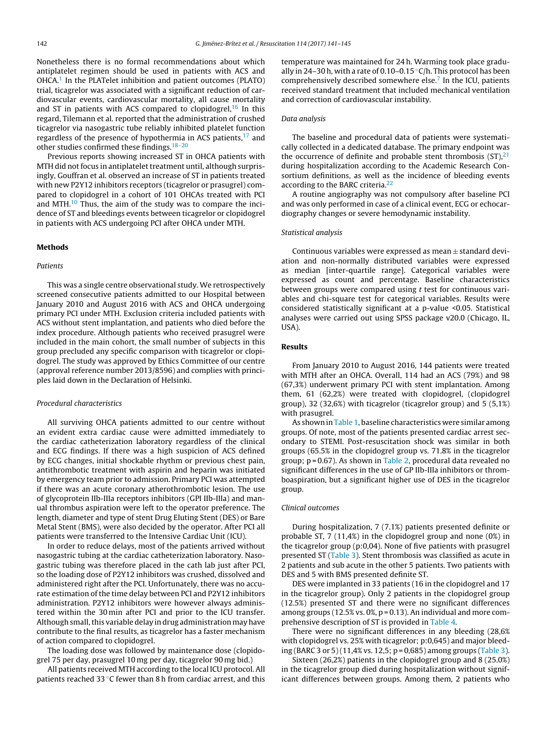Nonetheless there is no formal recommendations about which antiplatelet regimen should be used in patients with ACS and OHCA.<sup>1</sup> In the PLATelet inhibition and patient outcomes (PLATO) trial, ticagrelor was associated with a significant reduction of cardiovascular events, cardiovascular mortality, all cause mortality and ST in patients with ACS compared to clopidogrel, $16$  In this regard, Tilemann et al. reported that the administration of crushed ticagrelor via nasogastric tube reliably inhibited platelet function regardless of the presence of hypothermia in ACS patients, $17$  and other studies confirmed these findings.<sup>18-20</sup>

Previous reports showing increased ST in OHCA patients with MTH did not focus in antiplatelet treatment until, although surprisingly, Gouffran et al. observed an increase of ST in patients treated with new P2Y12 inhibitors receptors (ticagrelor or prasugrel) compared to clopidogrel in a cohort of 101 OHCAs treated with PCI and MTH. $^{10}$  $^{10}$  $^{10}$  Thus, the aim of the study was to compare the incidence of ST and bleedings events between ticagrelor or clopidogrel in patients with ACS undergoing PCI after OHCA under MTH.

#### **Methods**

#### **Patients**

This was a single centre observational study. We retrospectively screened consecutive patients admitted to our Hospital between January 2010 and August 2016 with ACS and OHCA undergoing primary PCI under MTH. Exclusion criteria included patients with ACS without stent implantation, and patients who died before the index procedure. Although patients who received prasugrel were included in the main cohort, the small number of subjects in this group precluded any specific comparison with ticagrelor or clopidogrel. The study was approved by Ethics Committee of our centre (approval reference number 2013/8596) and complies with principles laid down in the Declaration of Helsinki.

#### Procedural characteristics

All surviving OHCA patients admitted to our centre without an evident extra cardiac cause were admitted immediately to the cardiac catheterization laboratory regardless of the clinical and ECG findings. If there was a high suspicion of ACS defined by ECG changes, initial shockable rhythm or previous chest pain, antithrombotic treatment with aspirin and heparin was initiated by emergency team prior to admission. Primary PCI was attempted if there was an acute coronary atherothrombotic lesion. The use of glycoprotein IIb-IIIa receptors inhibitors (GPI IIb-IIIa) and manual thrombus aspiration were left to the operator preference. The length, diameter and type of stent Drug Eluting Stent (DES) or Bare Metal Stent (BMS), were also decided by the operator. After PCI all patients were transferred to the Intensive Cardiac Unit (ICU).

In order to reduce delays, most of the patients arrived without nasogastric tubing at the cardiac catheterization laboratory. Nasogastric tubing was therefore placed in the cath lab just after PCI, so the loading dose of P2Y12 inhibitors was crushed, dissolved and administered right after the PCI. Unfortunately, there was no accurate estimation of the time delay between PCI and P2Y12 inhibitors administration. P2Y12 inhibitors were however always administered within the 30 min after PCI and prior to the ICU transfer. Although small, this variable delay in drug administration may have contribute to the final results, as ticagrelor has a faster mechanism of action compared to clopidogrel.

The loading dose was followed by maintenance dose (clopidogrel 75 per day, prasugrel 10 mg per day, ticagrelor 90 mg bid.)

All patients received MTH according to the local ICU protocol. All patients reached 33 ◦C fewer than 8 h from cardiac arrest, and this temperature was maintained for 24 h. Warming took place gradually in 24–30 h, with a rate of 0.10–0.15  $\mathrm{C/h}$ . This protocol has been comprehensively described somewhere else.<sup>[7](#page-4-0)</sup> In the ICU, patients received standard treatment that included mechanical ventilation and correction of cardiovascular instability.

# Data analysis

The baseline and procedural data of patients were systematically collected in a dedicated database. The primary endpoint was the occurrence of definite and probable stent thrombosis  $(ST)$ ,<sup>21</sup> during hospitalization according to the Academic Research Consortium definitions, as well as the incidence of bleeding events according to the BARC criteria.<sup>22</sup>

A routine angiography was not compulsory after baseline PCI and was only performed in case of a clinical event, ECG or echocardiography changes or severe hemodynamic instability.

#### Statistical analysis

Continuous variables were expressed as  $mean \pm$  standard deviation and non-normally distributed variables were expressed as median [inter-quartile range]. Categorical variables were expressed as count and percentage. Baseline characteristics between groups were compared using  $t$  test for continuous variables and chi-square test for categorical variables. Results were considered statistically significant at a p-value <0.05. Statistical analyses were carried out using SPSS package v20.0 (Chicago, IL, USA).

#### **Results**

From January 2010 to August 2016, 144 patients were treated with MTH after an OHCA. Overall, 114 had an ACS (79%) and 98 (67,3%) underwent primary PCI with stent implantation. Among them, 61 (62,2%) were treated with clopidogrel, (clopidogrel group), 32 (32,6%) with ticagrelor (ticagrelor group) and 5 (5,1%) with prasugrel.

As shown in [Table](#page-2-0) 1, baseline characteristics were similar among groups. Of note, most of the patients presented cardiac arrest secondary to STEMI. Post-resuscitation shock was similar in both groups (65.5% in the clopidogrel group vs. 71.8% in the ticagrelor group;  $p = 0.67$ ). As shown in [Table](#page-2-0) 2, procedural data revealed no significant differences in the use of GP IIb-IIIa inhibitors or thromboaspiration, but a significant higher use of DES in the ticagrelor group.

## Clinical outcomes

During hospitalization, 7 (7.1%) patients presented definite or probable ST, 7 (11,4%) in the clopidogrel group and none (0%) in the ticagrelor group (p:0,04). None of five patients with prasugrel presented ST ([Table](#page-2-0) 3). Stent thrombosis was classified as acute in 2 patients and sub acute in the other 5 patients. Two patients with DES and 5 with BMS presented definite ST.

DES were implanted in 33 patients (16 in the clopidogrel and 17 in the ticagrelor group). Only 2 patients in the clopidogrel group (12.5%) presented ST and there were no significant differences among groups ( $12.5\%$  vs.  $0\%$ ,  $p = 0.13$ ). An individual and more comprehensive description of ST is provided in [Table](#page-2-0) 4.

There were no significant differences in any bleeding (28,6% with clopidogrel vs. 25% with ticagrelor; p:0,645) and major bleeding (BARC 3 or 5) (11,4% vs. 12,5; p = 0,685) among groups [\(Table](#page-2-0) 3).

Sixteen (26,2%) patients in the clopidogrel group and 8 (25.0%) in the ticagrelor group died during hospitalization without significant differences between groups. Among them, 2 patients who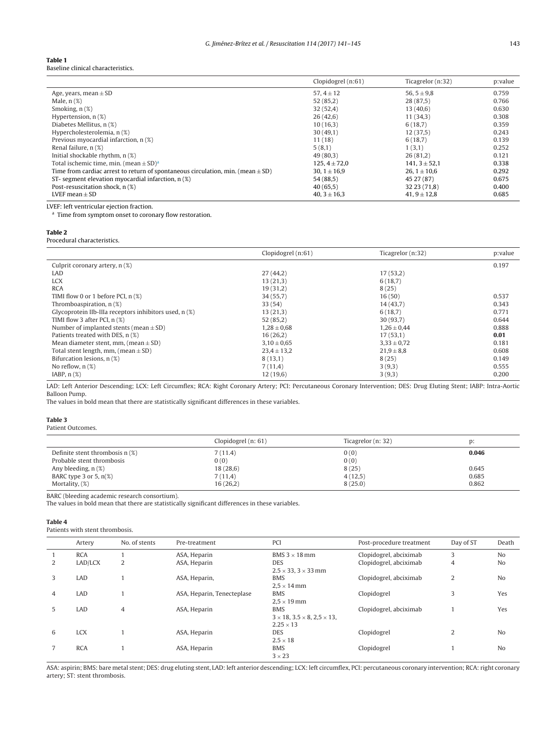#### <span id="page-2-0"></span>**Table 1** Baseline clinical characteristics.

|                                                                                     | Clopidogrel (n:61) | Ticagrelor (n:32)  | p:value |
|-------------------------------------------------------------------------------------|--------------------|--------------------|---------|
| Age, years, mean $\pm$ SD                                                           | 57, $4 \pm 12$     | 56, $5 \pm 9.8$    | 0.759   |
| Male, $n(\%)$                                                                       | 52(85,2)           | 28(87,5)           | 0.766   |
| Smoking, $n$ $(\%)$                                                                 | 32(52,4)           | 13(40,6)           | 0.630   |
| Hypertension, $n$ $(\%)$                                                            | 26(42,6)           | 11(34,3)           | 0.308   |
| Diabetes Mellitus, n (%)                                                            | 10(16,3)           | 6(18,7)            | 0.359   |
| Hypercholesterolemia, n (%)                                                         | 30(49,1)           | 12(37,5)           | 0.243   |
| Previous myocardial infarction, n (%)                                               | 11(18)             | 6(18,7)            | 0.139   |
| Renal failure, n (%)                                                                | 5(8,1)             | 1(3,1)             | 0.252   |
| Initial shockable rhythm, n (%)                                                     | 49(80,3)           | 26(81,2)           | 0.121   |
| Total ischemic time, min. (mean $\pm$ SD) <sup>a</sup>                              | $125.4 \pm 72.0$   | $141, 3 \pm 52, 1$ | 0.338   |
| Time from cardiac arrest to return of spontaneous circulation, min. (mean $\pm$ SD) | 30. $1 \pm 16.9$   | 26.1 $\pm$ 10.6    | 0.292   |
| ST- segment elevation myocardial infarction, $n$ $(\%)$                             | 54(88,5)           | 45 27 (87)         | 0.675   |
| Post-resuscitation shock, n (%)                                                     | 40(65,5)           | 32 23 (71,8)       | 0.400   |
| LVEF mean $\pm$ SD                                                                  | $40.3 \pm 16.3$    | $41, 9 \pm 12,8$   | 0.685   |

LVEF: left ventricular ejection fraction.

<sup>a</sup> Time from symptom onset to coronary flow restoration.

#### **Table 2**

l,

Procedural characteristics.

|                                                        | Clopidogrel (n:61) | Ticagrelor (n:32) | p:value |
|--------------------------------------------------------|--------------------|-------------------|---------|
| Culprit coronary artery, n (%)                         |                    |                   | 0.197   |
| LAD                                                    | 27(44,2)           | 17(53,2)          |         |
| <b>LCX</b>                                             | 13(21,3)           | 6(18,7)           |         |
| <b>RCA</b>                                             | 19(31,2)           | 8(25)             |         |
| TIMI flow 0 or 1 before PCI, $n$ (%)                   | 34(55,7)           | 16(50)            | 0.537   |
| Thromboaspiration, $n$ $(\%)$                          | 33(54)             | 14(43,7)          | 0.343   |
| Glycoprotein IIb-IIIa receptors inhibitors used, n (%) | 13(21,3)           | 6(18,7)           | 0.771   |
| TIMI flow 3 after PCI, $n$ (%)                         | 52(85,2)           | 30(93,7)          | 0.644   |
| Number of implanted stents (mean $\pm$ SD)             | $1,28 \pm 0,68$    | $1,26 \pm 0,44$   | 0.888   |
| Patients treated with DES, n (%)                       | 16(26,2)           | 17(53,1)          | 0.01    |
| Mean diameter stent, mm, (mean $\pm$ SD)               | $3,10 \pm 0,65$    | $3,33 \pm 0,72$   | 0.181   |
| Total stent length, mm, (mean $\pm$ SD)                | $23,4 \pm 13,2$    | $21.9 \pm 8.8$    | 0.608   |
| Bifurcation lesions, n (%)                             | 8(13,1)            | 8(25)             | 0.149   |
| No reflow, $n$ $(\%)$                                  | 7(11,4)            | 3(9,3)            | 0.555   |
| IABP, $n$ $(\%)$                                       | 12(19,6)           | 3(9,3)            | 0.200   |

LAD: Left Anterior Descending; LCX: Left Circumflex; RCA: Right Coronary Artery; PCI: Percutaneous Coronary Intervention; DES: Drug Eluting Stent; IABP: Intra-Aortic Balloon Pump.

The values in bold mean that there are statistically significant differences in these variables.

#### **Table 3**

Patient Outcomes.

|                                   | Clopidogrel $(n: 61)$ | Ticagrelor (n: 32) | D:    |
|-----------------------------------|-----------------------|--------------------|-------|
| Definite stent thrombosis $n$ (%) | 7(11.4)               | 0(0)               | 0.046 |
| Probable stent thrombosis         | 0(0)                  | 0(0)               |       |
| Any bleeding, n (%)               | 18(28,6)              | 8(25)              | 0.645 |
| BARC type 3 or 5, $n(\%)$         | 7(11,4)               | 4(12,5)            | 0.685 |
| Mortality, (%)                    | 16(26,2)              | 8(25.0)            | 0.862 |

BARC (bleeding academic research consortium).

The values in bold mean that there are statistically significant differences in these variables.

#### **Table 4**

Patients with stent thrombosis.

|   | Artery     | No. of stents | Pre-treatment              | PCI                                                                                  | Post-procedure treatment | Day of ST | Death          |
|---|------------|---------------|----------------------------|--------------------------------------------------------------------------------------|--------------------------|-----------|----------------|
|   | <b>RCA</b> |               | ASA, Heparin               | BMS $3 \times 18$ mm                                                                 | Clopidogrel, abciximab   | 3         | No             |
| 2 | LAD/LCX    | 2             | ASA, Heparin               | <b>DES</b><br>$2.5 \times 33$ , $3 \times 33$ mm                                     | Clopidogrel, abciximab   | 4         | N <sub>o</sub> |
| 3 | LAD        |               | ASA, Heparin,              | <b>BMS</b><br>$2.5 \times 14$ mm                                                     | Clopidogrel, abciximab   | 2         | No             |
| 4 | LAD        |               | ASA, Heparin, Tenecteplase | <b>BMS</b><br>$2.5 \times 19$ mm                                                     | Clopidogrel              | 3         | Yes            |
| 5 | LAD        | 4             | ASA, Heparin               | <b>BMS</b><br>$3 \times 18$ , $3.5 \times 8$ , $2.5 \times 13$ ,<br>$2.25 \times 13$ | Clopidogrel, abciximab   |           | Yes            |
| 6 | <b>LCX</b> |               | ASA, Heparin               | <b>DES</b><br>$2.5 \times 18$                                                        | Clopidogrel              | 2         | N <sub>o</sub> |
|   | <b>RCA</b> |               | ASA, Heparin               | <b>BMS</b><br>$3 \times 23$                                                          | Clopidogrel              |           | No             |

ASA: aspirin; BMS: bare metal stent; DES: drug eluting stent, LAD: left anterior descending; LCX: left circumflex, PCI: percutaneous coronary intervention; RCA: right coronary artery; ST: stent thrombosis.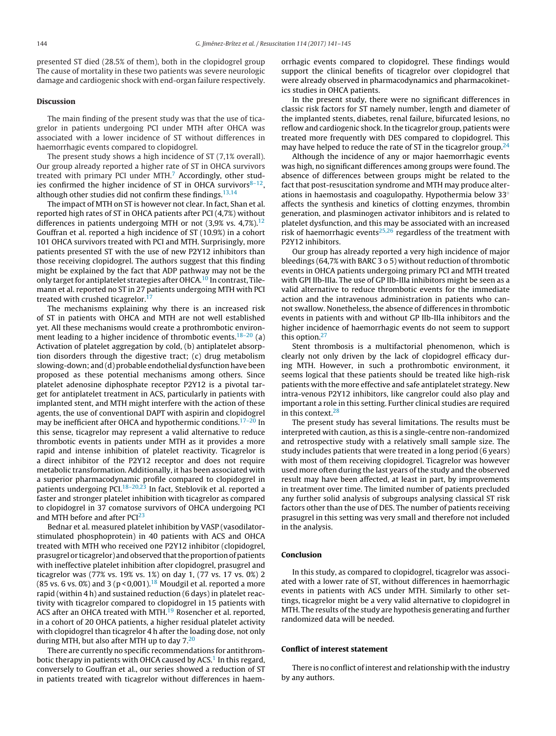presented ST died (28.5% of them), both in the clopidogrel group The cause of mortality in these two patients was severe neurologic damage and cardiogenic shock with end-organ failure respectively.

## **Discussion**

The main finding of the present study was that the use of ticagrelor in patients undergoing PCI under MTH after OHCA was associated with a lower incidence of ST without differences in haemorrhagic events compared to clopidogrel.

The present study shows a high incidence of ST (7,1% overall). Our group already reported a higher rate of ST in OHCA survivors treated with primary PCI under MTH.<sup>[7](#page-4-0)</sup> Accordingly, other studies confirmed the higher incidence of ST in OHCA survivors $8-12$ , although other studies did not confirm these findings.  $13,14$ 

The impact of MTH on ST is however not clear. In fact, Shan et al. reported high rates of ST in OHCA patients after PCI (4,7%) without differences in patients undergoing MTH or not  $(3,9\%)$  vs. 4,7%).<sup>[12](#page-4-0)</sup> Gouffran et al. reported a high incidence of ST (10.9%) in a cohort 101 OHCA survivors treated with PCI and MTH. Surprisingly, more patients presented ST with the use of new P2Y12 inhibitors than those receiving clopidogrel. The authors suggest that this finding might be explained by the fact that ADP pathway may not be the only target for antiplatelet strategies after OHCA.<sup>[10](#page-4-0)</sup> In contrast, Tilemann et al. reported no ST in 27 patients undergoing MTH with PCI treated with crushed ticagrelor.<sup>17</sup>

The mechanisms explaining why there is an increased risk of ST in patients with OHCA and MTH are not well established yet. All these mechanisms would create a prothrombotic environment leading to a higher incidence of thrombotic events. $18-20$  (a) Activation of platelet aggregation by cold, (b) antiplatelet absorption disorders through the digestive tract; (c) drug metabolism slowing-down; and (d) probable endothelial dysfunction have been proposed as these potential mechanisms among others. Since platelet adenosine diphosphate receptor P2Y12 is a pivotal target for antiplatelet treatment in ACS, particularly in patients with implanted stent, and MTH might interfere with the action of these agents, the use of conventional DAPT with aspirin and clopidogrel may be inefficient after OHCA and hypothermic conditions.<sup>[17–20](#page-4-0)</sup> In this sense, ticagrelor may represent a valid alternative to reduce thrombotic events in patients under MTH as it provides a more rapid and intense inhibition of platelet reactivity. Ticagrelor is a direct inhibitor of the P2Y12 receptor and does not require metabolic transformation. Additionally, it has been associated with a superior pharmacodynamic profile compared to clopidogrel in patients undergoing PCI[.18–20,23](#page-4-0) In fact, Steblovik et al. reported a faster and stronger platelet inhibition with ticagrelor as compared to clopidogrel in 37 comatose survivors of OHCA undergoing PCI and MTH before and after  $PCI<sup>23</sup>$  $PCI<sup>23</sup>$  $PCI<sup>23</sup>$ 

Bednar et al. measured platelet inhibition by VASP (vasodilatorstimulated phosphoprotein) in 40 patients with ACS and OHCA treated with MTH who received one P2Y12 inhibitor (clopidogrel, prasugrel or ticagrelor) and observed that the proportion of patients with ineffective platelet inhibition after clopidogrel, prasugrel and ticagrelor was (77% vs. 19% vs. 1%) on day 1, (77 vs. 17 vs. 0%) 2 (85 vs. 6 vs. 0%) and 3 ( $p < 0.001$ ).<sup>[18](#page-4-0)</sup> Moudgil et al. reported a more rapid (within 4 h) and sustained reduction (6 days) in platelet reactivity with ticagrelor compared to clopidogrel in 15 patients with ACS after an OHCA treated with MTH.<sup>[19](#page-4-0)</sup> Rosencher et al. reported, in a cohort of 20 OHCA patients, a higher residual platelet activity with clopidogrel than ticagrelor 4 h after the loading dose, not only during MTH, but also after MTH up to day 7[.20](#page-4-0)

There are currently no specific recommendations for antithrom-botic therapy in patients with OHCA caused by ACS.<sup>[1](#page-4-0)</sup> In this regard, conversely to Gouffran et al., our series showed a reduction of ST in patients treated with ticagrelor without differences in haemorrhagic events compared to clopidogrel. These findings would support the clinical benefits of ticagrelor over clopidogrel that were already observed in pharmacodynamics and pharmacokinetics studies in OHCA patients.

In the present study, there were no significant differences in classic risk factors for ST namely number, length and diameter of the implanted stents, diabetes, renal failure, bifurcated lesions, no reflow and cardiogenic shock. In the ticagrelor group, patients were treated more frequently with DES compared to clopidogrel. This may have helped to reduce the rate of ST in the ticagrelor group.<sup>24</sup>

Although the incidence of any or major haemorrhagic events was high, no significant differences among groups were found. The absence of differences between groups might be related to the fact that post-resuscitation syndrome and MTH may produce alterations in haemostasis and coagulopathy. Hypothermia below 33◦ affects the synthesis and kinetics of clotting enzymes, thrombin generation, and plasminogen activator inhibitors and is related to platelet dysfunction, and this may be associated with an increased risk of haemorrhagic events<sup>[25,26](#page-4-0)</sup> regardless of the treatment with P2Y12 inhibitors.

Our group has already reported a very high incidence of major bleedings (64,7% with BARC 3 o 5) without reduction of thrombotic events in OHCA patients undergoing primary PCI and MTH treated with GPI IIb-IIIa. The use of GP IIb-IIIa inhibitors might be seen as a valid alternative to reduce thrombotic events for the immediate action and the intravenous administration in patients who cannot swallow. Nonetheless, the absence of differences in thrombotic events in patients with and without GP IIb-IIIa inhibitors and the higher incidence of haemorrhagic events do not seem to support this option.<sup>[27](#page-4-0)</sup>

Stent thrombosis is a multifactorial phenomenon, which is clearly not only driven by the lack of clopidogrel efficacy during MTH. However, in such a prothrombotic environment, it seems logical that these patients should be treated like high-risk patients with the more effective and safe antiplatelet strategy. New intra-venous P2Y12 inhibitors, like cangrelor could also play and important a role in this setting. Further clinical studies are required in this context.<sup>28</sup>

The present study has several limitations. The results must be interpreted with caution, as this is a single-centre non-randomized and retrospective study with a relatively small sample size. The study includes patients that were treated in a long period (6 years) with most of them receiving clopidogrel. Ticagrelor was however used more often during the last years of the study and the observed result may have been affected, at least in part, by improvements in treatment over time. The limited number of patients precluded any further solid analysis of subgroups analysing classical ST risk factors other than the use of DES. The number of patients receiving prasugrel in this setting was very small and therefore not included in the analysis.

#### **Conclusion**

In this study, as compared to clopidogrel, ticagrelor was associated with a lower rate of ST, without differences in haemorrhagic events in patients with ACS under MTH. Similarly to other settings, ticagrelor might be a very valid alternative to clopidogrel in MTH. The results of the study are hypothesis generating and further randomized data will be needed.

#### **Conflict of interest statement**

There is no conflict of interest and relationship with the industry by any authors.